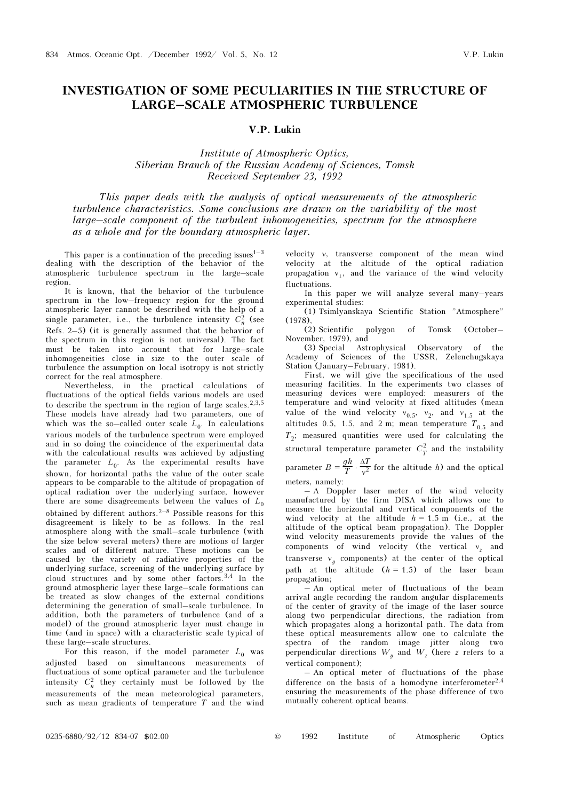# INVESTIGATION OF SOME PECULIARITIES IN THE STRUCTURE OF LARGE–SCALE ATMOSPHERIC TURBULENCE

# V.P. Lukin

Institute of Atmospheric Optics, Siberian Branch of the Russian Academy of Sciences, Tomsk Received September 23, 1992

This paper deals with the analysis of optical measurements of the atmospheric turbulence characteristics. Some conclusions are drawn on the variability of the most large–scale component of the turbulent inhomogeneities, spectrum for the atmosphere as a whole and for the boundary atmospheric layer.

This paper is a continuation of the preceding issues  $1-3$ dealing with the description of the behavior of the atmospheric turbulence spectrum in the large–scale region.

It is known, that the behavior of the turbulence spectrum in the low–frequency region for the ground atmospheric layer cannot be described with the help of a single parameter, i.e., the turbulence intensity  $C_n^2$  (see Refs. 2–5) (it is generally assumed that the behavior of the spectrum in this region is not universal). The fact must be taken into account that for large–scale inhomogeneities close in size to the outer scale of turbulence the assumption on local isotropy is not strictly correct for the real atmosphere.

Nevertheless, in the practical calculations of fluctuations of the optical fields various models are used to describe the spectrum in the region of large scales.<sup>2,3,5</sup> These models have already had two parameters, one of which was the so–called outer scale  $L_0$ . In calculations various models of the turbulence spectrum were employed and in so doing the coincidence of the experimental data with the calculational results was achieved by adjusting the parameter  $L_0$ . As the experimental results have shown, for horizontal paths the value of the outer scale appears to be comparable to the altitude of propagation of optical radiation over the underlying surface, however there are some disagreements between the values of  $L_0$ obtained by different authors.<sup>2–8</sup> Possible reasons for this disagreement is likely to be as follows. In the real atmosphere along with the small–scale turbulence (with the size below several meters) there are motions of larger scales and of different nature. These motions can be caused by the variety of radiative properties of the underlying surface, screening of the underlying surface by cloud structures and by some other factors.3,4 In the ground atmospheric layer these large–scale formations can be treated as slow changes of the external conditions determining the generation of small–scale turbulence. In addition, both the parameters of turbulence (and of a model) of the ground atmospheric layer must change in time (and in space) with a characteristic scale typical of these large–scale structures.

For this reason, if the model parameter  $L_0$  was adjusted based on simultaneous measurements of fluctuations of some optical parameter and the turbulence intensity  $C_n^2$  they certainly must be followed by the measurements of the mean meteorological parameters, such as mean gradients of temperature  $T$  and the wind

velocity ν, transverse component of the mean wind velocity at the altitude of the optical radiation propagation  $v_1$ , and the variance of the wind velocity fluctuations.

In this paper we will analyze several many–years experimental studies:

(1) Tsimlyanskaya Scientific Station "Atmosphere" (1978),

(2) Scientific polygon of Tomsk (October– November, 1979), and

(3) Special Astrophysical Observatory of the Academy of Sciences of the USSR, Zelenchugskaya Station (January–February, 1981).

First, we will give the specifications of the used measuring facilities. In the experiments two classes of measuring devices were employed: measurers of the temperature and wind velocity at fixed altitudes (mean value of the wind velocity  $v_{0.5}$ ,  $v_2$ , and  $v_{1.5}$  at the altitudes 0.5, 1.5, and 2 m; mean temperature  $T_{0.5}$  and  $T_2$ ; measured quantities were used for calculating the structural temperature parameter  $C_T^2$  and the instability parameter  $B = \frac{gh}{T} \cdot \frac{\Delta T}{v^2}$  for the altitude h) and the optical

meters, namely: – A Doppler laser meter of the wind velocity manufactured by the firm DISA which allows one to measure the horizontal and vertical components of the wind velocity at the altitude  $h = 1.5$  m (i.e., at the altitude of the optical beam propagation). The Doppler wind velocity measurements provide the values of the components of wind velocity (the vertical  $v<sub>z</sub>$  and transverse  $v_y$  components) at the center of the optical path at the altitude  $(h = 1.5)$  of the laser beam propagation;

– An optical meter of fluctuations of the beam arrival angle recording the random angular displacements of the center of gravity of the image of the laser source along two perpendicular directions, the radiation from which propagates along a horizontal path. The data from these optical measurements allow one to calculate the spectra of the random image jitter along two perpendicular directions  $W_y$  and  $W_z$  (here z refers to a vertical component);

– An optical meter of fluctuations of the phase difference on the basis of a homodyne interferometer<sup>2,4</sup> ensuring the measurements of the phase difference of two mutually coherent optical beams.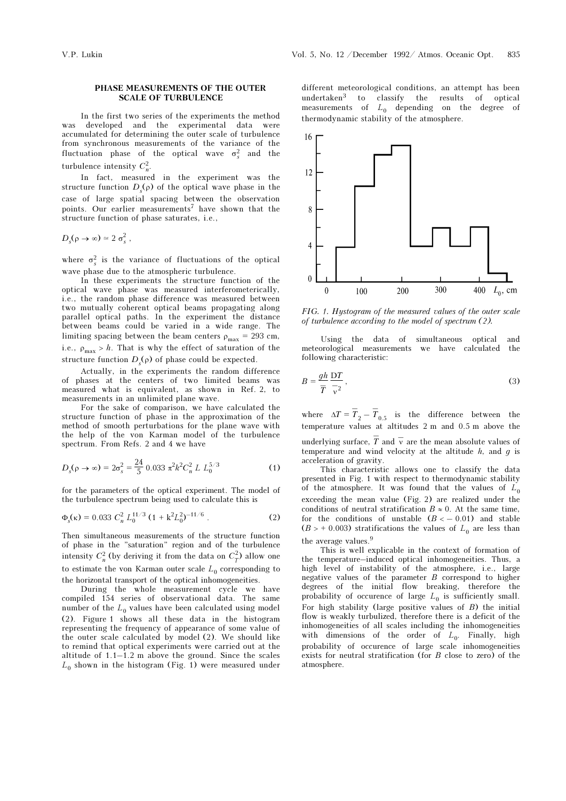## PHASE MEASUREMENTS OF THE OUTER SCALE OF TURBULENCE

In the first two series of the experiments the method developed and the experimental data were accumulated for determining the outer scale of turbulence from synchronous measurements of the variance of the fluctuation phase of the optical wave  $\sigma_s^2$  and the turbulence intensity  $C_n^2$ .

In fact, measured in the experiment was the structure function  $D_s(\rho)$  of the optical wave phase in the case of large spatial spacing between the observation points. Our earlier measurements<sup>7</sup> have shown that the structure function of phase saturates, i.e.,

$$
D_s(\rho \to \infty) \simeq 2 \sigma_s^2 ,
$$

where  $\sigma_s^2$  is the variance of fluctuations of the optical wave phase due to the atmospheric turbulence.

In these experiments the structure function of the optical wave phase was measured interferometerically, i.e., the random phase difference was measured between two mutually coherent optical beams propagating along parallel optical paths. In the experiment the distance between beams could be varied in a wide range. The limiting spacing between the beam centers  $\rho_{\text{max}} = 293 \text{ cm}$ , i.e.,  $\rho_{\text{max}} > h$ . That is why the effect of saturation of the structure function  $D_s(\rho)$  of phase could be expected.

Actually, in the experiments the random difference of phases at the centers of two limited beams was measured what is equivalent, as shown in Ref. 2, to measurements in an unlimited plane wave.

For the sake of comparison, we have calculated the structure function of phase in the approximation of the method of smooth perturbations for the plane wave with the help of the von Karman model of the turbulence spectrum. From Refs. 2 and 4 we have

$$
D_s(\rho \to \infty) = 2\sigma_s^2 = \frac{24}{5} \ 0.033 \ \pi^2 k^2 C_n^2 \ L \ L_0^{5/3} \tag{1}
$$

for the parameters of the optical experiment. The model of the turbulence spectrum being used to calculate this is

$$
\Phi_s(\kappa) = 0.033 \ C_n^2 \ L_0^{11/3} \ (1 + k^2 L_0^2)^{-11/6} \ . \tag{2}
$$

Then simultaneous measurements of the structure function of phase in the "saturation" region and of the turbulence intensity  $C_n^2$  (by deriving it from the data on  $C_T^2$ ) allow one to estimate the von Karman outer scale  $L_0$  corresponding to the horizontal transport of the optical inhomogeneities.

During the whole measurement cycle we have compiled 154 series of observational data. The same number of the  $L_0$  values have been calculated using model (2). Figure 1 shows all these data in the histogram representing the frequency of appearance of some value of the outer scale calculated by model (2). We should like to remind that optical experiments were carried out at the altitude of 1.1–1.2 m above the ground. Since the scales  $L_0$  shown in the histogram (Fig. 1) were measured under

different meteorological conditions, an attempt has been undertaken3 to classify the results of optical measurements of  $L_0$  depending on the degree of thermodynamic stability of the atmosphere.



FIG. 1. Hystogram of the measured values of the outer scale of turbulence according to the model of spectrum (2).

Using the data of simultaneous optical and meteorological measurements we have calculated the following characteristic:

$$
B = \frac{gh}{\overline{T}} \frac{\mathbf{D}T}{\overline{v}^2},\tag{3}
$$

where  $\Delta T = \overline{T}_2 - \overline{T}_{0.5}$  is the difference between the temperature values at altitudes 2 m and 0.5 m above the

underlying surface,  $\bar{T}$  and  $\bar{v}$  are the mean absolute values of temperature and wind velocity at the altitude  $h$ , and  $g$  is acceleration of gravity.

This characteristic allows one to classify the data presented in Fig. 1 with respect to thermodynamic stability of the atmosphere. It was found that the values of  $L_0$ exceeding the mean value (Fig. 2) are realized under the conditions of neutral stratification  $B \approx 0$ . At the same time, for the conditions of unstable  $(B < -0.01)$  and stable  $(B > + 0.003)$  stratifications the values of  $L_0$  are less than the average values.<sup>9</sup>

This is well explicable in the context of formation of the temperature–induced optical inhomogeneities. Thus, a high level of instability of the atmosphere, i.e., large negative values of the parameter B correspond to higher degrees of the initial flow breaking, therefore the probability of occurence of large  $L_0$  is sufficiently small. For high stability (large positive values of  $B$ ) the initial flow is weakly turbulized, therefore there is a deficit of the inhomogeneities of all scales including the inhomogeneities with dimensions of the order of  $L_0$ . Finally, high probability of occurence of large scale inhomogeneities exists for neutral stratification (for B close to zero) of the atmosphere.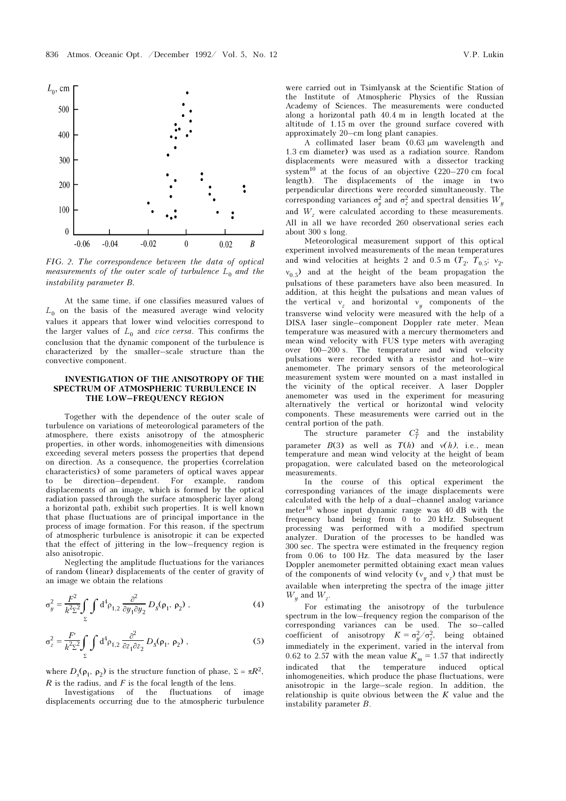

FIG. 2. The correspondence between the data of optical measurements of the outer scale of turbulence  $L_0$  and the instability parameter B.

At the same time, if one classifies measured values of  $L_0$  on the basis of the measured average wind velocity values it appears that lower wind velocities correspond to the larger values of  $L_0$  and *vice versa*. This confirms the conclusion that the dynamic component of the turbulence is characterized by the smaller–scale structure than the convective component.

## INVESTIGATION OF THE ANISOTROPY OF THE SPECTRUM OF ATMOSPHERIC TURBULENCE IN THE LOW–FREQUENCY REGION

Together with the dependence of the outer scale of turbulence on variations of meteorological parameters of the atmosphere, there exists anisotropy of the atmospheric properties, in other words, inhomogeneities with dimensions exceeding several meters possess the properties that depend on direction. As a consequence, the properties (correlation characteristics) of some parameters of optical waves appear to be direction–dependent. For example, random displacements of an image, which is formed by the optical radiation passed through the surface atmospheric layer along a horizontal path, exhibit such properties. It is well known that phase fluctuations are of principal importance in the process of image formation. For this reason, if the spectrum of atmospheric turbulence is anisotropic it can be expected that the effect of jittering in the low–frequency region is also anisotropic.

Neglecting the amplitude fluctuations for the variances of random (linear) displacements of the center of gravity of an image we obtain the relations

$$
\sigma_y^2 = \frac{F^2}{k^2 \Sigma^2} \int\limits_{\Sigma} \int d^4 \rho_{1,2} \frac{\partial^2}{\partial y_1 \partial y_2} D_s(\rho_1, \rho_2) , \qquad (4)
$$

$$
\sigma_z^2 = \frac{F'}{k^2 \Sigma^2} \int\limits_{\Sigma} \int d^4 \rho_{1,2} \frac{\partial^2}{\partial z_1 \partial z_2} D_s(\rho_1, \rho_2) , \qquad (5)
$$

where  $D_s(\rho_1, \rho_2)$  is the structure function of phase,  $\Sigma = \pi R^2$ ,  $R$  is the radius, and  $F$  is the focal length of the lens.

Investigations of the fluctuations of image displacements occurring due to the atmospheric turbulence

were carried out in Tsimlyansk at the Scientific Station of the Institute of Atmospheric Physics of the Russian Academy of Sciences. The measurements were conducted along a horizontal path 40.4 m in length located at the altitude of 1.15 m over the ground surface covered with approximately 20–cm long plant canapies.

A collimated laser beam  $(0.63 \mu m$  wavelength and 1.3 cm diameter) was used as a radiation source. Random displacements were measured with a dissector tracking system<sup>10</sup> at the focus of an objective  $(220-270 \text{ cm }$  focal length). The displacements of the image in two perpendicular directions were recorded simultaneously. The corresponding variances  $\sigma_y^2$  and  $\sigma_z^2$  and spectral densities  $W_y$ and  $W<sub>z</sub>$  were calculated according to these measurements. All in all we have recorded 260 observational series each about 300 s long.

Meteorological measurement support of this optical experiment involved measurements of the mean temperatures and wind velocities at heights 2 and 0.5 m  $(T_2, T_{0.5}; v_2,$  $v_{0.5}$ ) and at the height of the beam propagation the pulsations of these parameters have also been measured. In addition, at this height the pulsations and mean values of the vertical  $v_z$  and horizontal  $v_y$  components of the transverse wind velocity were measured with the help of a DISA laser single–component Doppler rate meter. Mean temperature was measured with a mercury thermometers and mean wind velocity with FUS type meters with averaging over 100–200 s. The temperature and wind velocity pulsations were recorded with a resistor and hot–wire anemometer. The primary sensors of the meteorological measurement system were mounted on a mast installed in the vicinity of the optical receiver. A laser Doppler anemometer was used in the experiment for measuring alternatively the vertical or horizontal wind velocity components. These measurements were carried out in the central portion of the path.

The structure parameter  $C_T^2$  and the instability parameter  $B(3)$  as well as  $T(h)$  and  $v(h)$ , i.e., mean temperature and mean wind velocity at the height of beam propagation, were calculated based on the meteorological measurements.

In the course of this optical experiment the corresponding variances of the image displacements were calculated with the help of a dual–channel analog variance meter10 whose input dynamic range was 40 dB with the frequency band being from 0 to 20 kHz. Subsequent processing was performed with a modified spectrum analyzer. Duration of the processes to be handled was 300 sec. The spectra were estimated in the frequency region from 0.06 to 100 Hz. The data measured by the laser Doppler anemometer permitted obtaining exact mean values of the components of wind velocity ( $v_y$  and  $v_z$ ) that must be available when interpreting the spectra of the image jitter  $W_y$  and  $W_z$ .

For estimating the anisotropy of the turbulence spectrum in the low–frequency region the comparison of the corresponding variances can be used. The so–called coefficient of anisotropy  $K = \sigma_y^2/\sigma_z^2$ , being obtained immediately in the experiment, varied in the interval from 0.62 to 2.57 with the mean value  $K_m = 1.57$  that indirectly indicated that the temperature induced optical inhomogeneities, which produce the phase fluctuations, were anisotropic in the large–scale region. In addition, the relationship is quite obvious between the  $K$  value and the instability parameter B.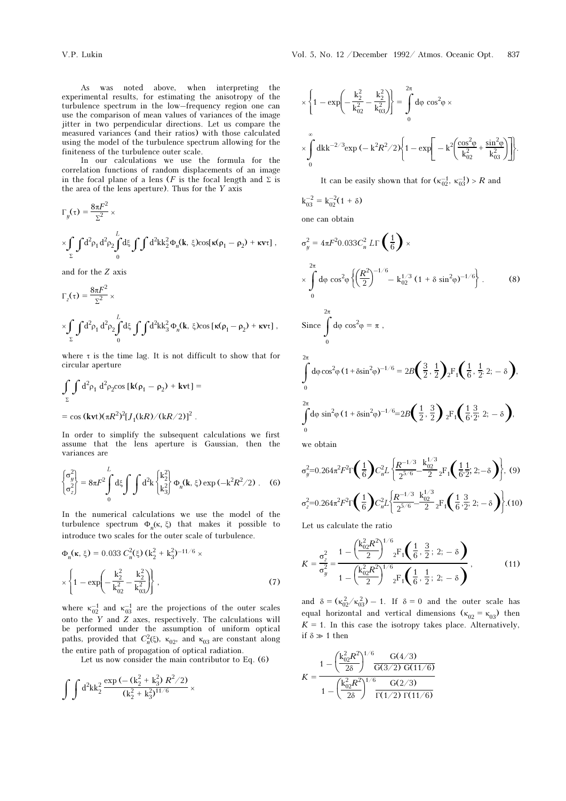In our calculations we use the formula for the correlation functions of random displacements of an image in the focal plane of a lens (F is the focal length and  $\Sigma$  is the area of the lens aperture). Thus for the  $Y$  axis

$$
\Gamma_y(\tau) = \frac{8\pi F^2}{\Sigma^2} \times \int_{\Sigma} d^2 \rho_1 d^2 \rho_2 \int_0^L d\xi \int \int d^2k k_2^2 \Phi_n(\mathbf{k}, \xi) \cos[\kappa(\rho_1 - \rho_2) + \kappa v \tau],
$$

and for the Z axis

$$
\Gamma_z(\tau) = \frac{8\pi F^2}{\Sigma^2} \times \left[ \frac{1}{2} \int d^2 \rho_1 d^2 \rho_2 \int_0^L d\xi \int \int d^2k k_3^2 \Phi_n(\mathbf{k}, \xi) \cos \left[ \kappa (\rho_1 - \rho_2) + \kappa v \tau \right],
$$

where  $\tau$  is the time lag. It is not difficult to show that for circular aperture

$$
\int_{\Sigma} \int d^2 \rho_1 d^2 \rho_2 \cos [k(\rho_1 - \rho_2) + kvt] =
$$
  
= cos (kvt)( $\pi R^2$ )<sup>2</sup>[ $J_1(kR)/(kR/2)$ ]<sup>2</sup>.

In order to simplify the subsequent calculations we first assume that the lens aperture is Gaussian, then the variances are

$$
\begin{cases}\n\sigma_y^2 \\
\sigma_z^2\n\end{cases} = 8\pi F^2 \int_0^L d\xi \int_0^L d^2k \begin{cases}\nk_2^2 \\
k_3^2\n\end{cases} \Phi_n(\mathbf{k}, \xi) \exp(-k^2 R^2 / 2). \quad (6)
$$

In the numerical calculations we use the model of the turbulence spectrum  $Φ_n$ (κ, ξ) that makes it possible to introduce two scales for the outer scale of turbulence.

$$
\Phi_n(\mathbf{k}, \xi) = 0.033 \ C_n^2(\xi) \left(k_2^2 + k_3^2\right)^{-11/6} \times \left\{ 1 - \exp\left(-\frac{k_2^2}{k_{02}^2} - \frac{k_2^2}{k_{03}^2}\right) \right\},
$$
\n(7)

where  $\kappa_{02}^{-1}$  and  $\kappa_{03}^{-1}$  are the projections of the outer scales onto the Y and Z axes, respectively. The calculations will be performed under the assumption of uniform optical paths, provided that  $C_n^2(\xi)$ ,  $\kappa_{02}$ , and  $\kappa_{03}$  are constant along the entire path of propagation of optical radiation.

Let us now consider the main contributor to Eq.  $(6)$ 

$$
\int \int d^2k k_2^2 \frac{\exp{(- (k_2^2 + k_3^2) R^2/2)}}{(k_2^2 + k_3^2)^{11/6}} \times
$$

$$
\times \left\{ 1 - \exp\left( - \frac{k_2^2}{k_{02}^2} - \frac{k_2^2}{k_{03}^2} \right) \right\} = \int_0^{2\pi} d\varphi \cos^2\varphi \times \times \int_0^{\infty} dk k^{-2/3} \exp\left( - \frac{k^2 R^2}{2} \right) \left\{ 1 - \exp\left[ - \frac{k^2 \left( \frac{\cos^2\varphi}{k_{02}^2} + \frac{\sin^2\varphi}{k_{03}^2} \right)}{k_{03}^2} \right] \right\}.
$$

It can be easily shown that for  $(\kappa_{02}^{-1}, \kappa_{03}^{-1}) > R$  and

$$
k_{03}^{-2} = k_{02}^{-2}(1 + \delta)
$$

one can obtain

$$
\sigma_y^2 = 4\pi F^2 0.033 C_n^2 L\Gamma\left(\frac{1}{6}\right) \times
$$
  
\n
$$
\times \int_0^{2\pi} d\varphi \cos^2 \varphi \left\{ \left(\frac{R^2}{2}\right)^{-1/6} - k_{02}^{1/3} (1 + \delta \sin^2 \varphi)^{-1/6} \right\}.
$$
 (8)  
\nSince  $\int_0^{2\pi} d\varphi \cos^2 \varphi = \pi$ ,  
\n
$$
\int_0^{2\pi} d\varphi \cos^2 \varphi (1 + \delta \sin^2 \varphi)^{-1/6} = 2B\left(\frac{3}{2}, \frac{1}{2}\right)_2 F_1\left(\frac{1}{6}, \frac{1}{2}; 2; -\delta\right),
$$
  
\n
$$
\int_0^{2\pi} d\varphi \sin^2 \varphi (1 + \delta \sin^2 \varphi)^{-1/6} = 2B\left(\frac{1}{2}, \frac{3}{2}\right)_2 F_1\left(\frac{1}{6}, \frac{3}{2}; 2; -\delta\right),
$$

we obtain

$$
\sigma_y^2 = 0.264\pi^2 F^2 \Gamma\left(\frac{1}{6}\right) C_n^2 L \left\{ \frac{R^{-1/3}}{2^{5/6}} - \frac{k_{02}^{1/3}}{2} {}_2F_1\left(\frac{1}{6} \cdot \frac{1}{2}; 2; -\delta\right) \right\}, (9)
$$
  

$$
\sigma_z^2 = 0.264\pi^2 F^2 \Gamma\left(\frac{1}{6}\right) C_n^2 L \left\{ \frac{R^{-1/3}}{2^{5/6}} - \frac{k_{02}^{1/3}}{2} {}_2F_1\left(\frac{1}{6} \cdot \frac{3}{2}; 2; -\delta\right) \right\}. (10)
$$

Let us calculate the ratio

$$
K = \frac{\sigma_z^2}{\sigma_y^2} = \frac{1 - \left(\frac{k_{02}^2 R^2}{2}\right)^{1/6} {}_2F_1\left(\frac{1}{6}, \frac{3}{2}; 2; -\delta\right)}{1 - \left(\frac{k_{02}^2 R^2}{2}\right)^{1/6} {}_2F_1\left(\frac{1}{6}, \frac{1}{2}; 2; -\delta\right)},
$$
(11)

and  $\delta = (\kappa_{02}^2/\kappa_{03}^2) - 1$ . If  $\delta = 0$  and the outer scale has equal horizontal and vertical dimensions ( $\kappa_{02} = \kappa_{03}$ ) then  $K = 1$ . In this case the isotropy takes place. Alternatively, if  $\delta \gg 1$  then

$$
K = \frac{1 - \left(\frac{k_{02}^2 R^2}{2\delta}\right)^{1/6} \frac{G(4/3)}{G(3/2) G(11/6)}}{1 - \left(\frac{k_{02}^2 R^2}{2\delta}\right)^{1/6} \frac{G(2/3)}{\Gamma(1/2) \Gamma(11/6)}}
$$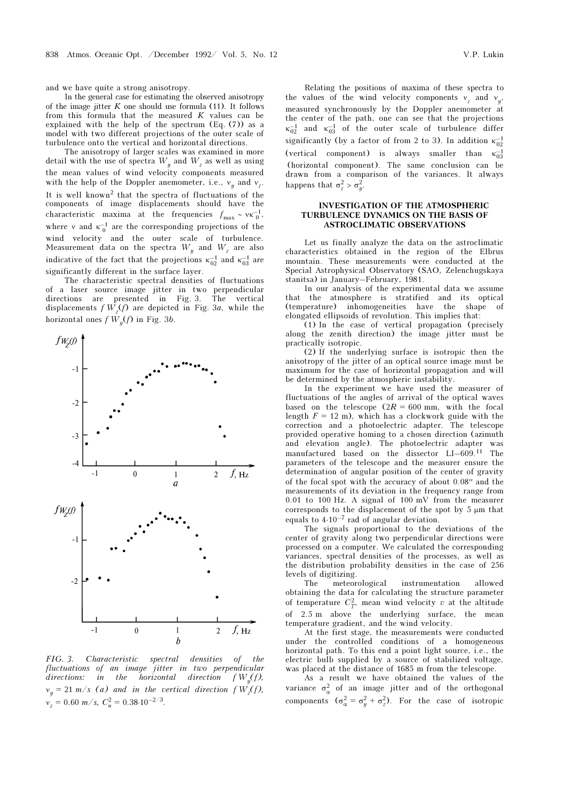and we have quite a strong anisotropy.

In the general case for estimating the observed anisotropy of the image jitter  $K$  one should use formula (11). It follows from this formula that the measured  $K$  values can be explained with the help of the spectrum (Eq. (7)) as a model with two different projections of the outer scale of turbulence onto the vertical and horizontal directions.

The anisotropy of larger scales was examined in more detail with the use of spectra  $W_y$  and  $W_z$  as well as using the mean values of wind velocity components measured with the help of the Doppler anemometer, i.e.,  $v_y$  and  $v_z$ . It is well known<sup>2</sup> that the spectra of fluctuations of the components of image displacements should have the characteristic maxima at the frequencies  $f_{\text{max}} \sim \nu \kappa_0^{-1}$ , where v and  $\kappa_0^{-1}$  are the corresponding projections of the wind velocity and the outer scale of turbulence. Measurement data on the spectra  $W_y$  and  $W_z$  are also indicative of the fact that the projections  $\kappa_{02}^{-1}$  and  $\kappa_{03}^{-1}$  are significantly different in the surface layer.

The characteristic spectral densities of fluctuations of a laser source image jitter in two perpendicular directions are presented in Fig. 3. The vertical displacements  $f W<sub>z</sub>(f)$  are depicted in Fig. 3*a*, while the horizontal ones  $f W_y(f)$  in Fig. 3b.



FIG. 3. Characteristic spectral densities of the fluctuations of an image jitter in two perpendicular directions: in the horizontal direction  $f W_{\nu}(f)$ ,  $v_y = 21$  m/s (a) and in the vertical direction f  $W_z(f)$ ,  $v_z = 0.60 \frac{m}{s}$ ,  $C_n^2 = 0.38 \cdot 10^{-2/3}$ .

Relating the positions of maxima of these spectra to the values of the wind velocity components  $v_z$  and  $v_y$ , measured synchronously by the Doppler anemometer at the center of the path, one can see that the projections  $\kappa_{02}^{-1}$  and  $\kappa_{03}^{-1}$  of the outer scale of turbulence differ significantly (by a factor of from 2 to 3). In addition  $\kappa_{02}^{-1}$ (vertical component) is always smaller than  $\kappa_{03}^{-1}$ (horizontal component). The same conclusion can be drawn from a comparison of the variances. It always happens that  $\sigma_z^2 > \sigma_y^2$ .

## INVESTIGATION OF THE ATMOSPHERIC TURBULENCE DYNAMICS ON THE BASIS OF ASTROCLIMATIC OBSERVATIONS

Let us finally analyze the data on the astroclimatic characteristics obtained in the region of the Elbrus mountain. These measurements were conducted at the Special Astrophysical Observatory (SAO, Zelenchugskaya stanitsa) in January–February, 1981.

In our analysis of the experimental data we assume that the atmosphere is stratified and its optical (temperature) inhomogeneities have the shape of elongated ellipsoids of revolution. This implies that:

(1) In the case of vertical propagation (precisely along the zenith direction) the image jitter must be practically isotropic.

(2) If the underlying surface is isotropic then the anisotropy of the jitter of an optical source image must be maximum for the case of horizontal propagation and will be determined by the atmospheric instability.

In the experiment we have used the measurer of fluctuations of the angles of arrival of the optical waves based on the telescope  $(2R = 600$  mm, with the focal length  $F = 12$  m), which has a clockwork guide with the correction and a photoelectric adapter. The telescope provided operative homing to a chosen direction (azimuth and elevation angle). The photoelectric adapter was manufactured based on the dissector LI–609.11 The parameters of the telescope and the measurer ensure the determination of angular position of the center of gravity of the focal spot with the accuracy of about 0.08′′ and the measurements of its deviation in the frequency range from 0.01 to 100 Hz. A signal of 100 mV from the measurer corresponds to the displacement of the spot by 5 μm that equals to 4⋅10–7 rad of angular deviation.

The signals proportional to the deviations of the center of gravity along two perpendicular directions were processed on a computer. We calculated the corresponding variances, spectral densities of the processes, as well as the distribution probability densities in the case of 256 levels of digitizing.

The meteorological instrumentation allowed obtaining the data for calculating the structure parameter of temperature  $C_T^2$ , mean wind velocity v at the altitude of 2.5 m above the underlying surface, the mean temperature gradient, and the wind velocity.

At the first stage, the measurements were conducted under the controlled conditions of a homogeneous horizontal path. To this end a point light source, i.e., the electric bulb supplied by a source of stabilized voltage, was placed at the distance of 1685 m from the telescope.

As a result we have obtained the values of the variance  $\sigma_{\alpha}^2$  of an image jitter and of the orthogonal components  $(\sigma_{\alpha}^2 = \sigma_y^2 + \sigma_z^2)$ . For the case of isotropic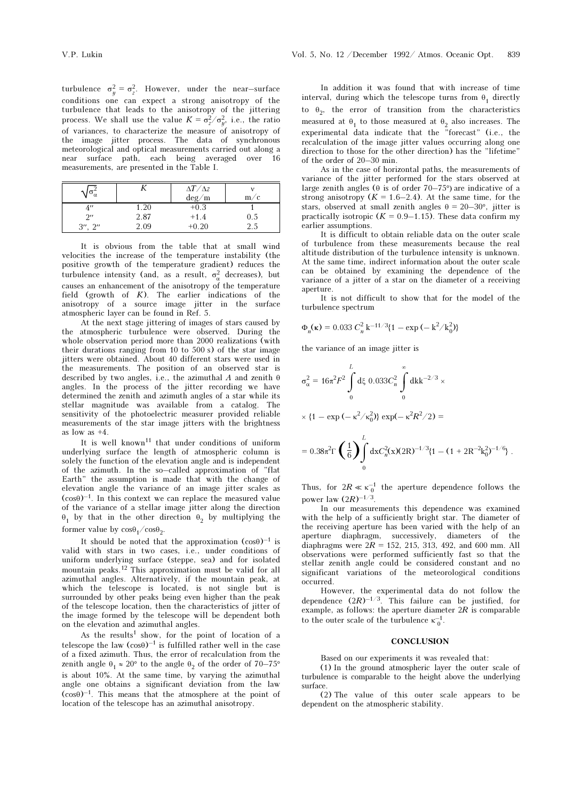turbulence  $\sigma_y^2 = \sigma_z^2$ . However, under the near-surface conditions one can expect a strong anisotropy of the turbulence that leads to the anisotropy of the jittering process. We shall use the value  $K = \sigma_z^2 / \sigma_y^2$ , i.e., the ratio of variances, to characterize the measure of anisotropy of the image jitter process. The data of synchronous meteorological and optical measurements carried out along a near surface path, each being averaged over 16 measurements, are presented in the Table I.

| $\sigma_{\alpha}$  |      | $\Delta T/\Delta z$<br>$\text{deg}/\text{m}$ | m/c |
|--------------------|------|----------------------------------------------|-----|
| 4''                | 1.20 | $+0.3$                                       |     |
| $2^{\prime\prime}$ | 2.87 | $+1.4$                                       | 0.5 |
| $3''$ , $2''$      | 2.09 | $+0.20$                                      | 2.5 |

It is obvious from the table that at small wind velocities the increase of the temperature instability (the positive growth of the temperature gradient) reduces the turbulence intensity (and, as a result,  $\sigma_{\alpha}^2$  decreases), but causes an enhancement of the anisotropy of the temperature field (growth of  $K$ ). The earlier indications of the anisotropy of a source image jitter in the surface atmospheric layer can be found in Ref. 5.

At the next stage jittering of images of stars caused by the atmospheric turbulence were observed. During the whole observation period more than 2000 realizations (with their durations ranging from 10 to 500 s) of the star image jitters were obtained. About 40 different stars were used in the measurements. The position of an observed star is described by two angles, i.e., the azimuthal A and zenith  $\theta$ angles. In the process of the jitter recording we have determined the zenith and azimuth angles of a star while its stellar magnitude was available from a catalog. The sensitivity of the photoelectric measurer provided reliable measurements of the star image jitters with the brightness as low as +4.

It is well known<sup>11</sup> that under conditions of uniform underlying surface the length of atmospheric column is solely the function of the elevation angle and is independent of the azimuth. In the so–called approximation of "flat Earth" the assumption is made that with the change of elevation angle the variance of an image jitter scales as  $(cos\theta)^{-1}$ . In this context we can replace the measured value of the variance of a stellar image jitter along the direction  $θ$ <sub>1</sub> by that in the other direction  $θ$ <sub>2</sub> by multiplying the former value by  $\cos\theta_1/\cos\theta_2$ .

It should be noted that the approximation  $(cos\theta)^{-1}$  is valid with stars in two cases, i.e., under conditions of uniform underlying surface (steppe, sea) and for isolated mountain peaks.12 This approximation must be valid for all azimuthal angles. Alternatively, if the mountain peak, at which the telescope is located, is not single but is surrounded by other peaks being even higher than the peak of the telescope location, then the characteristics of jitter of the image formed by the telescope will be dependent both on the elevation and azimuthal angles.

As the results<sup>1</sup> show, for the point of location of a telescope the law  $(cos\theta)^{-1}$  is fulfilled rather well in the case of a fixed azimuth. Thus, the error of recalculation from the zenith angle  $\theta_1 \approx 20^\circ$  to the angle  $\theta_2$  of the order of 70–75° is about 10%. At the same time, by varying the azimuthal angle one obtains a significant deviation from the law  $(cos\theta)^{-1}$ . This means that the atmosphere at the point of location of the telescope has an azimuthal anisotropy.

In addition it was found that with increase of time interval, during which the telescope turns from  $\theta_1$  directly to  $\theta_2$ , the error of transition from the characteristics measured at  $\theta_1$  to those measured at  $\theta_2$  also increases. The experimental data indicate that the "forecast" (i.e., the recalculation of the image jitter values occurring along one direction to those for the other direction) has the "lifetime" of the order of 20–30 min.

As in the case of horizontal paths, the measurements of variance of the jitter performed for the stars observed at large zenith angles ( $\theta$  is of order 70–75°) are indicative of a strong anisotropy  $(K = 1.6-2.4)$ . At the same time, for the stars, observed at small zenith angles  $\theta = 20-30^{\circ}$ , jitter is practically isotropic  $(K = 0.9-1.15)$ . These data confirm my earlier assumptions.

It is difficult to obtain reliable data on the outer scale of turbulence from these measurements because the real altitude distribution of the turbulence intensity is unknown. At the same time, indirect information about the outer scale can be obtained by examining the dependence of the variance of a jitter of a star on the diameter of a receiving aperture.

It is not difficult to show that for the model of the turbulence spectrum

$$
\Phi_n(\kappa) = 0.033 \ C_n^2 \ k^{-11/3} \{1 - \exp(-k^2/k_0^2)\}
$$

the variance of an image jitter is

$$
\sigma_{\alpha}^{2} = 16\pi^{2}F^{2} \int_{0}^{L} d\xi \ 0.033C_{n}^{2} \int_{0}^{\infty} dk k^{-2/3} \times
$$
  
 
$$
\times \{1 - \exp(-\kappa^{2}/\kappa_{0}^{2})\} \exp(-\kappa^{2}R^{2}/2) =
$$
  
= 0.38 $\pi^{2}\Gamma\left(\frac{1}{6}\right) \int_{0}^{L} dx C_{n}^{2}(x)(2R)^{-1/3}\{1 - (1 + 2R^{-2}k_{0}^{2})^{-1/6}\}.$ 

Thus, for  $2R \ll \kappa_0^{-1}$  the aperture dependence follows the power law  $(2R)^{-1/3}$ .

In our measurements this dependence was examined with the help of a sufficiently bright star. The diameter of the receiving aperture has been varied with the help of an aperture diaphragm, successively, diameters of the diaphragms were  $2R = 152, 215, 313, 492,$  and 600 mm. All observations were performed sufficiently fast so that the stellar zenith angle could be considered constant and no significant variations of the meteorological conditions occurred.

However, the experimental data do not follow the dependence  $(2R)^{-1/3}$ . This failure can be justified, for example, as follows: the aperture diameter  $2R$  is comparable to the outer scale of the turbulence  $\kappa_0^{-1}$ .

#### **CONCLUSION**

Based on our experiments it was revealed that:

(1) In the ground atmospheric layer the outer scale of turbulence is comparable to the height above the underlying surface.

(2) The value of this outer scale appears to be dependent on the atmospheric stability.